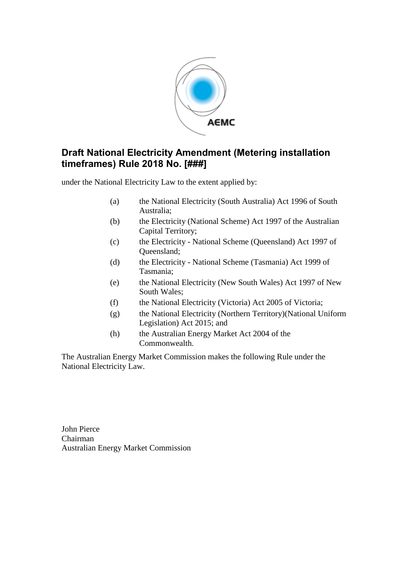

## **Draft National Electricity Amendment (Metering installation timeframes) Rule 2018 No. [###]**

under the National Electricity Law to the extent applied by:

- (a) the National Electricity (South Australia) Act 1996 of South Australia;
- (b) the Electricity (National Scheme) Act 1997 of the Australian Capital Territory;
- (c) the Electricity National Scheme (Queensland) Act 1997 of Queensland;
- (d) the Electricity National Scheme (Tasmania) Act 1999 of Tasmania;
- (e) the National Electricity (New South Wales) Act 1997 of New South Wales;
- (f) the National Electricity (Victoria) Act 2005 of Victoria;
- (g) the National Electricity (Northern Territory)(National Uniform Legislation) Act 2015; and
- (h) the Australian Energy Market Act 2004 of the Commonwealth.

The Australian Energy Market Commission makes the following Rule under the National Electricity Law.

John Pierce Chairman Australian Energy Market Commission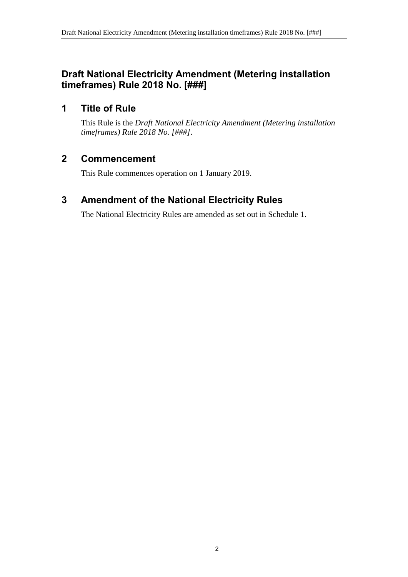# **Draft National Electricity Amendment (Metering installation timeframes) Rule 2018 No. [###]**

# **1 Title of Rule**

This Rule is the *Draft National Electricity Amendment (Metering installation timeframes) Rule 2018 No. [###]*.

# **2 Commencement**

This Rule commences operation on 1 January 2019.

# <span id="page-1-0"></span>**3 Amendment of the National Electricity Rules**

The National Electricity Rules are amended as set out in [Schedule 1.](#page-2-0)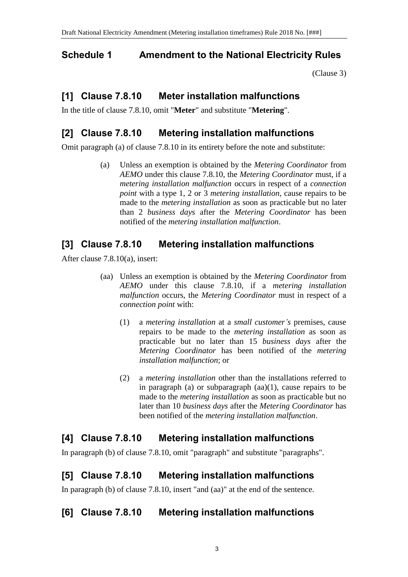# <span id="page-2-0"></span>**Schedule 1 Amendment to the National Electricity Rules**

[\(Clause 3\)](#page-1-0)

# **[1] Clause 7.8.10 Meter installation malfunctions**

In the title of clause 7.8.10, omit "**Meter**" and substitute "**Metering**".

## **[2] Clause 7.8.10 Metering installation malfunctions**

Omit paragraph (a) of clause 7.8.10 in its entirety before the note and substitute:

(a) Unless an exemption is obtained by the *Metering Coordinator* from *AEMO* under this clause 7.8.10, the *Metering Coordinator* must, if a *metering installation malfunction* occurs in respect of a *connection point* with a type 1, 2 or 3 *metering installation*, cause repairs to be made to the *metering installation* as soon as practicable but no later than 2 *business days* after the *Metering Coordinator* has been notified of the *metering installation malfunction*.

## **[3] Clause 7.8.10 Metering installation malfunctions**

After clause 7.8.10(a), insert:

- (aa) Unless an exemption is obtained by the *Metering Coordinator* from *AEMO* under this clause 7.8.10, if a *metering installation malfunction* occurs, the *Metering Coordinator* must in respect of a *connection point* with:
	- (1) a *metering installation* at a *small customer's* premises, cause repairs to be made to the *metering installation* as soon as practicable but no later than 15 *business days* after the *Metering Coordinator* has been notified of the *metering installation malfunction*; or
	- (2) a *metering installation* other than the installations referred to in paragraph (a) or subparagraph  $(aa)(1)$ , cause repairs to be made to the *metering installation* as soon as practicable but no later than 10 *business days* after the *Metering Coordinator* has been notified of the *metering installation malfunction*.

# **[4] Clause 7.8.10 Metering installation malfunctions**

In paragraph (b) of clause 7.8.10, omit "paragraph" and substitute "paragraphs".

## **[5] Clause 7.8.10 Metering installation malfunctions**

In paragraph (b) of clause 7.8.10, insert "and (aa)" at the end of the sentence.

# **[6] Clause 7.8.10 Metering installation malfunctions**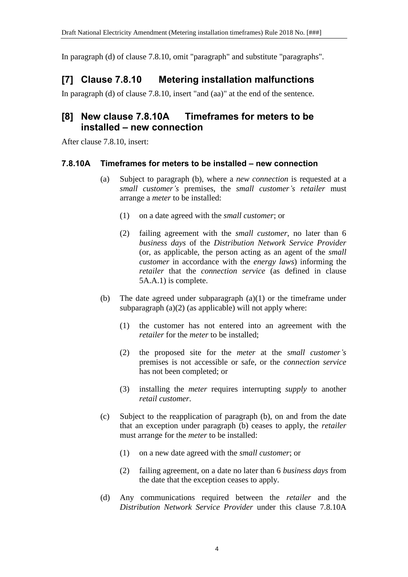In paragraph (d) of clause 7.8.10, omit "paragraph" and substitute "paragraphs".

# **[7] Clause 7.8.10 Metering installation malfunctions**

In paragraph (d) of clause 7.8.10, insert "and (aa)" at the end of the sentence.

## **[8] New clause 7.8.10A Timeframes for meters to be installed – new connection**

After clause 7.8.10, insert:

#### **7.8.10A Timeframes for meters to be installed – new connection**

- (a) Subject to paragraph (b), where a *new connection* is requested at a *small customer's* premises, the *small customer's retailer* must arrange a *meter* to be installed:
	- (1) on a date agreed with the *small customer*; or
	- (2) failing agreement with the *small customer*, no later than 6 *business days* of the *Distribution Network Service Provider* (or, as applicable, the person acting as an agent of the *small customer* in accordance with the *energy laws*) informing the *retailer* that the *connection service* (as defined in clause 5A.A.1) is complete.
- (b) The date agreed under subparagraph (a)(1) or the timeframe under subparagraph  $(a)(2)$  (as applicable) will not apply where:
	- (1) the customer has not entered into an agreement with the *retailer* for the *meter* to be installed;
	- (2) the proposed site for the *meter* at the *small customer's* premises is not accessible or safe, or the *connection service* has not been completed; or
	- (3) installing the *meter* requires interrupting *supply* to another *retail customer*.
- (c) Subject to the reapplication of paragraph (b), on and from the date that an exception under paragraph (b) ceases to apply, the *retailer* must arrange for the *meter* to be installed:
	- (1) on a new date agreed with the *small customer*; or
	- (2) failing agreement, on a date no later than 6 *business days* from the date that the exception ceases to apply.
- (d) Any communications required between the *retailer* and the *Distribution Network Service Provider* under this clause 7.8.10A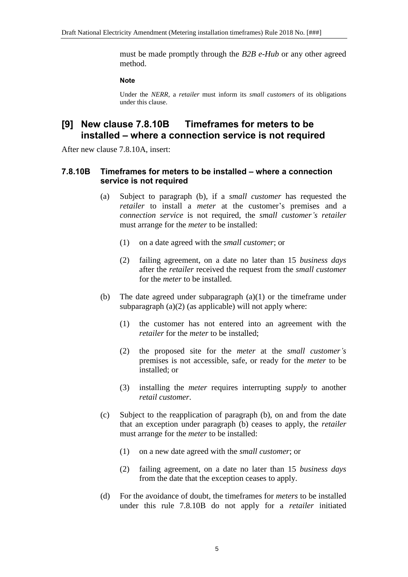must be made promptly through the *B2B e-Hub* or any other agreed method.

#### **Note**

Under the *NERR*, a *retailer* must inform its *small customers* of its obligations under this clause.

#### **[9] New clause 7.8.10B Timeframes for meters to be installed – where a connection service is not required**

After new clause 7.8.10A, insert:

#### **7.8.10B Timeframes for meters to be installed – where a connection service is not required**

- (a) Subject to paragraph (b), if a *small customer* has requested the *retailer* to install a *meter* at the customer's premises and a *connection service* is not required, the *small customer's retailer* must arrange for the *meter* to be installed:
	- (1) on a date agreed with the *small customer*; or
	- (2) failing agreement, on a date no later than 15 *business days* after the *retailer* received the request from the *small customer* for the *meter* to be installed.
- (b) The date agreed under subparagraph (a)(1) or the timeframe under subparagraph  $(a)(2)$  (as applicable) will not apply where:
	- (1) the customer has not entered into an agreement with the *retailer* for the *meter* to be installed;
	- (2) the proposed site for the *meter* at the *small customer's* premises is not accessible, safe, or ready for the *meter* to be installed; or
	- (3) installing the *meter* requires interrupting *supply* to another *retail customer*.
- (c) Subject to the reapplication of paragraph (b), on and from the date that an exception under paragraph (b) ceases to apply, the *retailer* must arrange for the *meter* to be installed:
	- (1) on a new date agreed with the *small customer*; or
	- (2) failing agreement, on a date no later than 15 *business days* from the date that the exception ceases to apply.
- (d) For the avoidance of doubt, the timeframes for *meters* to be installed under this rule 7.8.10B do not apply for a *retailer* initiated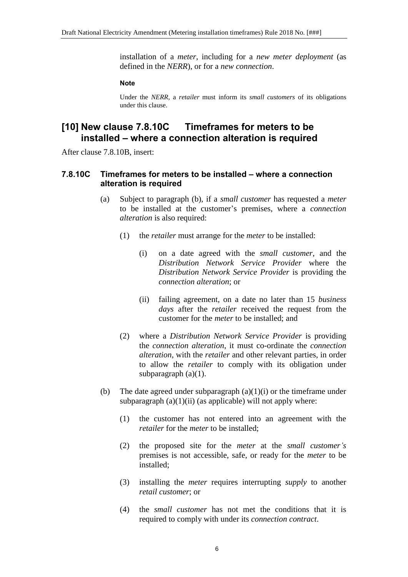installation of a *meter*, including for a *new meter deployment* (as defined in the *NERR*), or for a *new connection*.

#### **Note**

Under the *NERR*, a *retailer* must inform its *small customers* of its obligations under this clause.

#### **[10] New clause 7.8.10C Timeframes for meters to be installed – where a connection alteration is required**

After clause 7.8.10B, insert:

#### **7.8.10C Timeframes for meters to be installed – where a connection alteration is required**

- (a) Subject to paragraph (b), if a *small customer* has requested a *meter* to be installed at the customer's premises, where a *connection alteration* is also required:
	- (1) the *retailer* must arrange for the *meter* to be installed:
		- (i) on a date agreed with the *small customer*, and the *Distribution Network Service Provider* where the *Distribution Network Service Provider* is providing the *connection alteration*; or
		- (ii) failing agreement, on a date no later than 15 *business days* after the *retailer* received the request from the customer for the *meter* to be installed; and
	- (2) where a *Distribution Network Service Provider* is providing the *connection alteration*, it must co-ordinate the *connection alteration*, with the *retailer* and other relevant parties, in order to allow the *retailer* to comply with its obligation under subparagraph (a)(1).
- (b) The date agreed under subparagraph  $(a)(1)(i)$  or the timeframe under subparagraph  $(a)(1)(ii)$  (as applicable) will not apply where:
	- (1) the customer has not entered into an agreement with the *retailer* for the *meter* to be installed;
	- (2) the proposed site for the *meter* at the *small customer's* premises is not accessible, safe, or ready for the *meter* to be installed;
	- (3) installing the *meter* requires interrupting *supply* to another *retail customer*; or
	- (4) the *small customer* has not met the conditions that it is required to comply with under its *connection contract*.